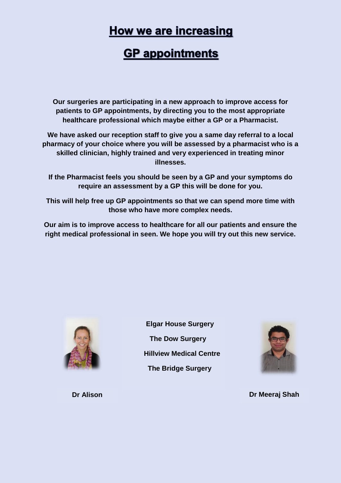### **How we are increasing**

## **GP** appointments

**Our surgeries are participating in a new approach to improve access for patients to GP appointments, by directing you to the most appropriate healthcare professional which maybe either a GP or a Pharmacist.**

**We have asked our reception staff to give you a same day referral to a local pharmacy of your choice where you will be assessed by a pharmacist who is a skilled clinician, highly trained and very experienced in treating minor illnesses.**

**If the Pharmacist feels you should be seen by a GP and your symptoms do require an assessment by a GP this will be done for you.**

**This will help free up GP appointments so that we can spend more time with those who have more complex needs.**

**Our aim is to improve access to healthcare for all our patients and ensure the right medical professional in seen. We hope you will try out this new service.**



 **Elgar House Surgery The Dow Surgery Hillview Medical Centre The Bridge Surgery**



**Dr Meeraj Shah**

**Dr Alison**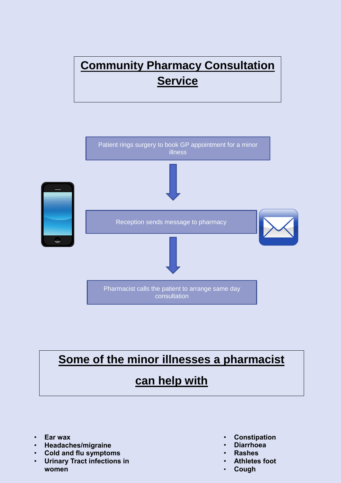# **Community Pharmacy Consultation Service**



# **Some of the minor illnesses a pharmacist**

#### **can help with**

- **Ear wax**
- **Headaches/migraine**
- **Cold and flu symptoms**
- **Urinary Tract infections in women**
- **Constipation**
- **Diarrhoea**
- **Rashes**
- **Athletes foot**
- **Cough**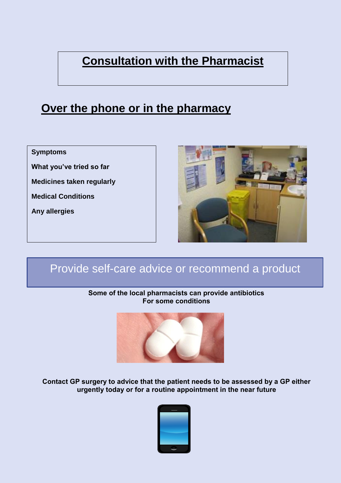# **Consultation with the Pharmacist**

### **Over the phone or in the pharmacy**

**Symptoms**

**What you've tried so far**

**Medicines taken regularly**

**Medical Conditions**

**Any allergies**



### Provide self-care advice or recommend a product

#### **Some of the local pharmacists can provide antibiotics For some conditions**



**Contact GP surgery to advice that the patient needs to be assessed by a GP either urgently today or for a routine appointment in the near future**